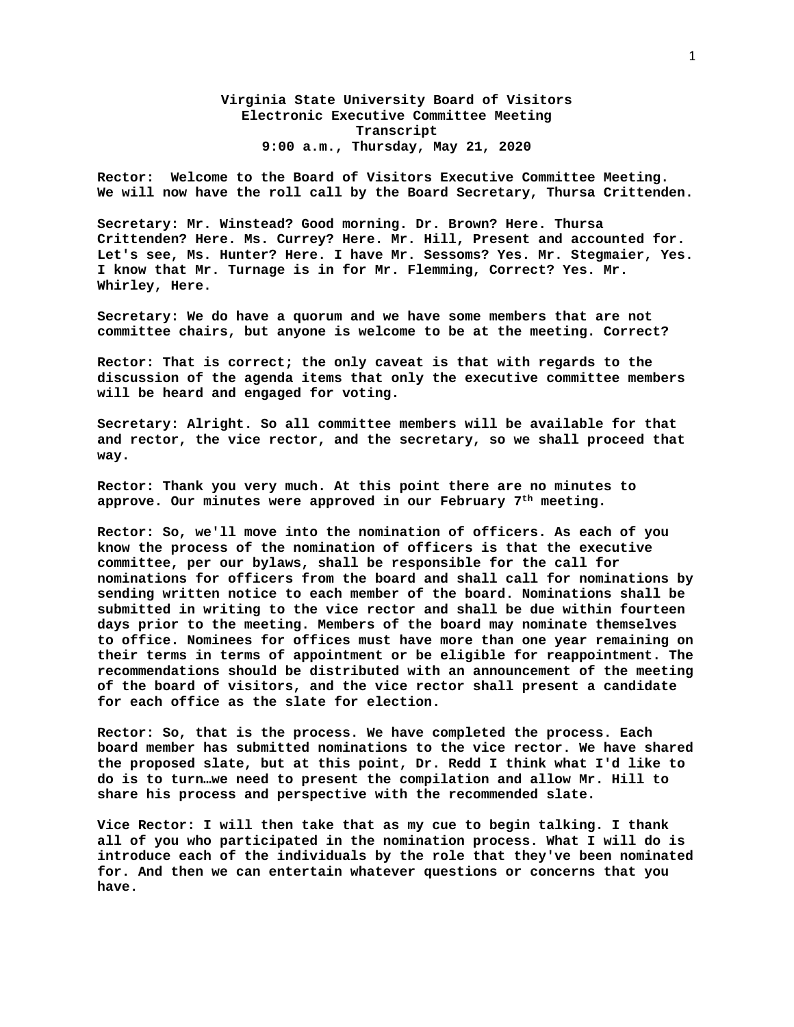## **Virginia State University Board of Visitors Electronic Executive Committee Meeting Transcript 9:00 a.m., Thursday, May 21, 2020**

**Rector: Welcome to the Board of Visitors Executive Committee Meeting. We will now have the roll call by the Board Secretary, Thursa Crittenden.** 

**Secretary: Mr. Winstead? Good morning. Dr. Brown? Here. Thursa Crittenden? Here. Ms. Currey? Here. Mr. Hill, Present and accounted for. Let's see, Ms. Hunter? Here. I have Mr. Sessoms? Yes. Mr. Stegmaier, Yes. I know that Mr. Turnage is in for Mr. Flemming, Correct? Yes. Mr. Whirley, Here.** 

**Secretary: We do have a quorum and we have some members that are not committee chairs, but anyone is welcome to be at the meeting. Correct?** 

**Rector: That is correct; the only caveat is that with regards to the discussion of the agenda items that only the executive committee members will be heard and engaged for voting.** 

**Secretary: Alright. So all committee members will be available for that and rector, the vice rector, and the secretary, so we shall proceed that way.** 

**Rector: Thank you very much. At this point there are no minutes to approve. Our minutes were approved in our February 7th meeting.** 

**Rector: So, we'll move into the nomination of officers. As each of you know the process of the nomination of officers is that the executive committee, per our bylaws, shall be responsible for the call for nominations for officers from the board and shall call for nominations by sending written notice to each member of the board. Nominations shall be submitted in writing to the vice rector and shall be due within fourteen days prior to the meeting. Members of the board may nominate themselves to office. Nominees for offices must have more than one year remaining on their terms in terms of appointment or be eligible for reappointment. The recommendations should be distributed with an announcement of the meeting of the board of visitors, and the vice rector shall present a candidate for each office as the slate for election.** 

**Rector: So, that is the process. We have completed the process. Each board member has submitted nominations to the vice rector. We have shared the proposed slate, but at this point, Dr. Redd I think what I'd like to do is to turn…we need to present the compilation and allow Mr. Hill to share his process and perspective with the recommended slate.** 

**Vice Rector: I will then take that as my cue to begin talking. I thank all of you who participated in the nomination process. What I will do is introduce each of the individuals by the role that they've been nominated for. And then we can entertain whatever questions or concerns that you have.**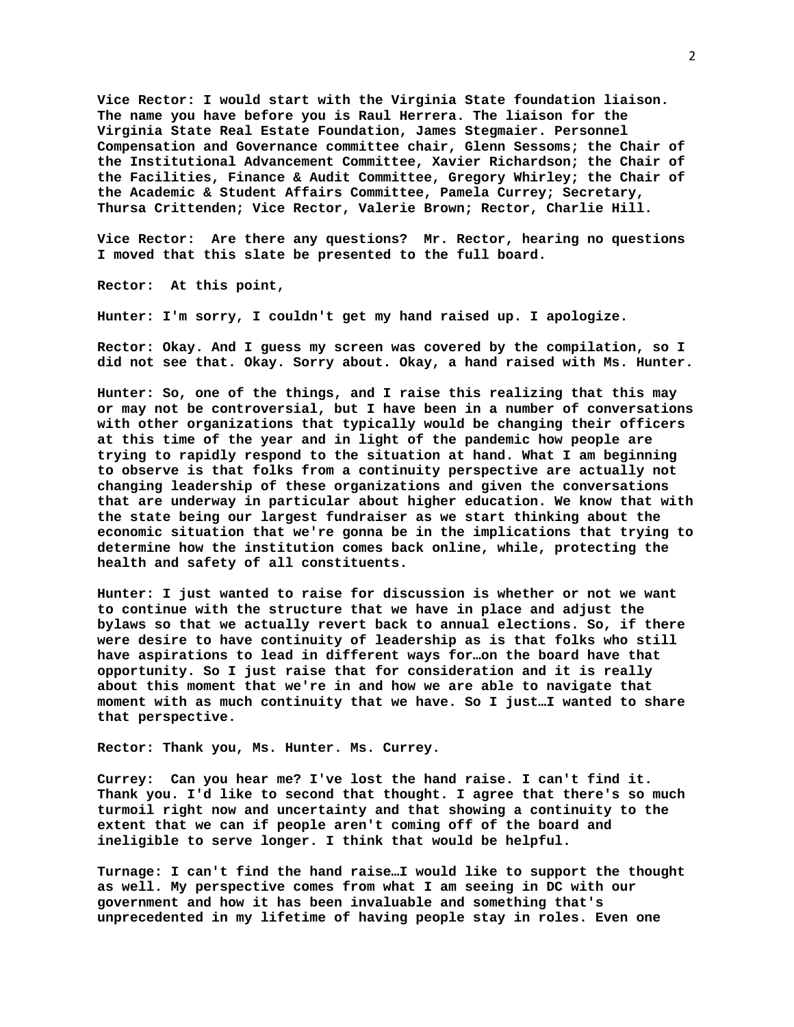**Vice Rector: I would start with the Virginia State foundation liaison. The name you have before you is Raul Herrera. The liaison for the Virginia State Real Estate Foundation, James Stegmaier. Personnel Compensation and Governance committee chair, Glenn Sessoms; the Chair of the Institutional Advancement Committee, Xavier Richardson; the Chair of the Facilities, Finance & Audit Committee, Gregory Whirley; the Chair of the Academic & Student Affairs Committee, Pamela Currey; Secretary, Thursa Crittenden; Vice Rector, Valerie Brown; Rector, Charlie Hill.** 

**Vice Rector: Are there any questions? Mr. Rector, hearing no questions I moved that this slate be presented to the full board.** 

**Rector: At this point,** 

**Hunter: I'm sorry, I couldn't get my hand raised up. I apologize.** 

**Rector: Okay. And I guess my screen was covered by the compilation, so I did not see that. Okay. Sorry about. Okay, a hand raised with Ms. Hunter.** 

**Hunter: So, one of the things, and I raise this realizing that this may or may not be controversial, but I have been in a number of conversations with other organizations that typically would be changing their officers at this time of the year and in light of the pandemic how people are trying to rapidly respond to the situation at hand. What I am beginning to observe is that folks from a continuity perspective are actually not changing leadership of these organizations and given the conversations that are underway in particular about higher education. We know that with the state being our largest fundraiser as we start thinking about the economic situation that we're gonna be in the implications that trying to determine how the institution comes back online, while, protecting the health and safety of all constituents.** 

**Hunter: I just wanted to raise for discussion is whether or not we want to continue with the structure that we have in place and adjust the bylaws so that we actually revert back to annual elections. So, if there were desire to have continuity of leadership as is that folks who still have aspirations to lead in different ways for…on the board have that opportunity. So I just raise that for consideration and it is really about this moment that we're in and how we are able to navigate that moment with as much continuity that we have. So I just…I wanted to share that perspective.** 

**Rector: Thank you, Ms. Hunter. Ms. Currey.** 

**Currey: Can you hear me? I've lost the hand raise. I can't find it. Thank you. I'd like to second that thought. I agree that there's so much turmoil right now and uncertainty and that showing a continuity to the extent that we can if people aren't coming off of the board and ineligible to serve longer. I think that would be helpful.** 

**Turnage: I can't find the hand raise…I would like to support the thought as well. My perspective comes from what I am seeing in DC with our government and how it has been invaluable and something that's unprecedented in my lifetime of having people stay in roles. Even one**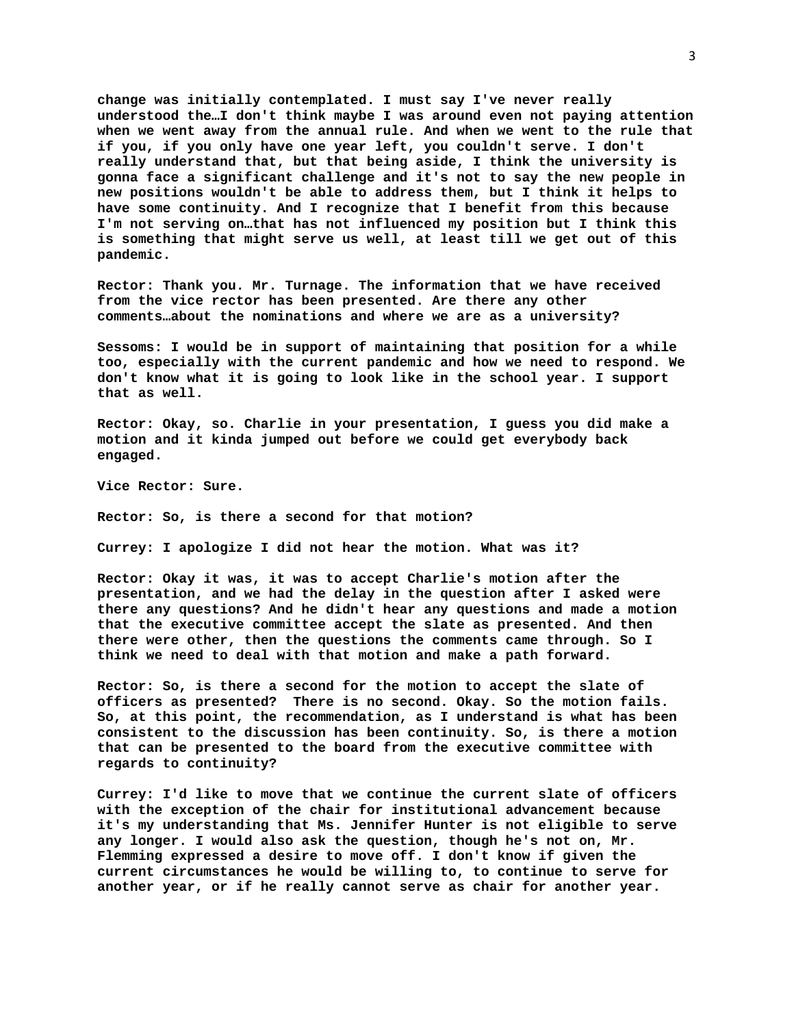**change was initially contemplated. I must say I've never really understood the…I don't think maybe I was around even not paying attention when we went away from the annual rule. And when we went to the rule that if you, if you only have one year left, you couldn't serve. I don't really understand that, but that being aside, I think the university is gonna face a significant challenge and it's not to say the new people in new positions wouldn't be able to address them, but I think it helps to have some continuity. And I recognize that I benefit from this because I'm not serving on…that has not influenced my position but I think this is something that might serve us well, at least till we get out of this pandemic.** 

**Rector: Thank you. Mr. Turnage. The information that we have received from the vice rector has been presented. Are there any other comments…about the nominations and where we are as a university?** 

**Sessoms: I would be in support of maintaining that position for a while too, especially with the current pandemic and how we need to respond. We don't know what it is going to look like in the school year. I support that as well.** 

**Rector: Okay, so. Charlie in your presentation, I guess you did make a motion and it kinda jumped out before we could get everybody back engaged.** 

**Vice Rector: Sure.** 

**Rector: So, is there a second for that motion?** 

**Currey: I apologize I did not hear the motion. What was it?** 

**Rector: Okay it was, it was to accept Charlie's motion after the presentation, and we had the delay in the question after I asked were there any questions? And he didn't hear any questions and made a motion that the executive committee accept the slate as presented. And then there were other, then the questions the comments came through. So I think we need to deal with that motion and make a path forward.** 

**Rector: So, is there a second for the motion to accept the slate of officers as presented? There is no second. Okay. So the motion fails. So, at this point, the recommendation, as I understand is what has been consistent to the discussion has been continuity. So, is there a motion that can be presented to the board from the executive committee with regards to continuity?** 

**Currey: I'd like to move that we continue the current slate of officers with the exception of the chair for institutional advancement because it's my understanding that Ms. Jennifer Hunter is not eligible to serve any longer. I would also ask the question, though he's not on, Mr. Flemming expressed a desire to move off. I don't know if given the current circumstances he would be willing to, to continue to serve for another year, or if he really cannot serve as chair for another year.**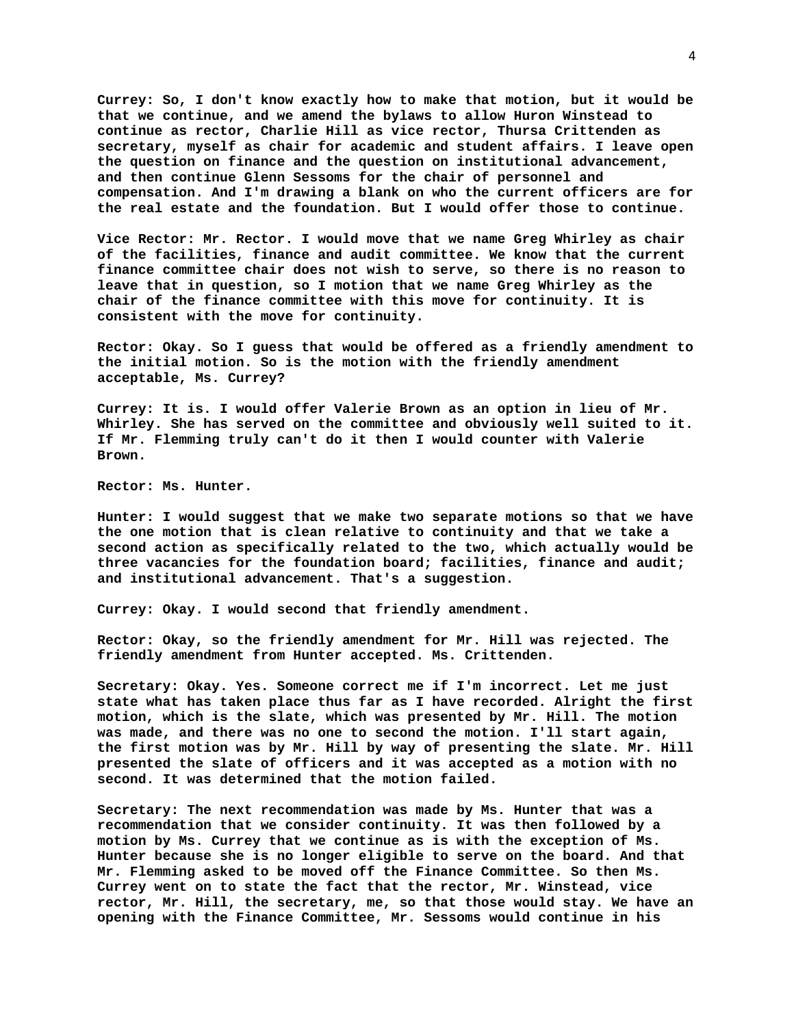**Currey: So, I don't know exactly how to make that motion, but it would be that we continue, and we amend the bylaws to allow Huron Winstead to continue as rector, Charlie Hill as vice rector, Thursa Crittenden as secretary, myself as chair for academic and student affairs. I leave open the question on finance and the question on institutional advancement, and then continue Glenn Sessoms for the chair of personnel and compensation. And I'm drawing a blank on who the current officers are for the real estate and the foundation. But I would offer those to continue.** 

**Vice Rector: Mr. Rector. I would move that we name Greg Whirley as chair of the facilities, finance and audit committee. We know that the current finance committee chair does not wish to serve, so there is no reason to leave that in question, so I motion that we name Greg Whirley as the chair of the finance committee with this move for continuity. It is consistent with the move for continuity.** 

**Rector: Okay. So I guess that would be offered as a friendly amendment to the initial motion. So is the motion with the friendly amendment acceptable, Ms. Currey?** 

**Currey: It is. I would offer Valerie Brown as an option in lieu of Mr. Whirley. She has served on the committee and obviously well suited to it. If Mr. Flemming truly can't do it then I would counter with Valerie Brown.** 

**Rector: Ms. Hunter.** 

**Hunter: I would suggest that we make two separate motions so that we have the one motion that is clean relative to continuity and that we take a second action as specifically related to the two, which actually would be three vacancies for the foundation board; facilities, finance and audit; and institutional advancement. That's a suggestion.** 

**Currey: Okay. I would second that friendly amendment.** 

**Rector: Okay, so the friendly amendment for Mr. Hill was rejected. The friendly amendment from Hunter accepted. Ms. Crittenden.** 

**Secretary: Okay. Yes. Someone correct me if I'm incorrect. Let me just state what has taken place thus far as I have recorded. Alright the first motion, which is the slate, which was presented by Mr. Hill. The motion was made, and there was no one to second the motion. I'll start again, the first motion was by Mr. Hill by way of presenting the slate. Mr. Hill presented the slate of officers and it was accepted as a motion with no second. It was determined that the motion failed.** 

**Secretary: The next recommendation was made by Ms. Hunter that was a recommendation that we consider continuity. It was then followed by a motion by Ms. Currey that we continue as is with the exception of Ms. Hunter because she is no longer eligible to serve on the board. And that Mr. Flemming asked to be moved off the Finance Committee. So then Ms. Currey went on to state the fact that the rector, Mr. Winstead, vice rector, Mr. Hill, the secretary, me, so that those would stay. We have an opening with the Finance Committee, Mr. Sessoms would continue in his**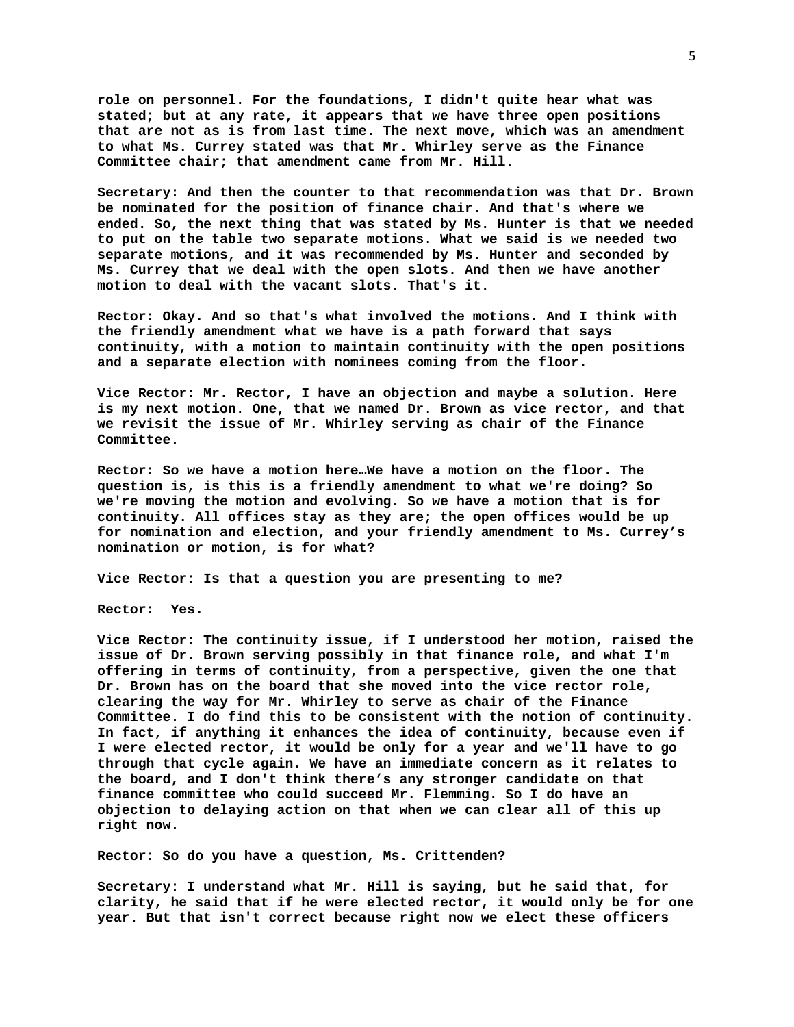**role on personnel. For the foundations, I didn't quite hear what was stated; but at any rate, it appears that we have three open positions that are not as is from last time. The next move, which was an amendment to what Ms. Currey stated was that Mr. Whirley serve as the Finance Committee chair; that amendment came from Mr. Hill.** 

**Secretary: And then the counter to that recommendation was that Dr. Brown be nominated for the position of finance chair. And that's where we ended. So, the next thing that was stated by Ms. Hunter is that we needed to put on the table two separate motions. What we said is we needed two separate motions, and it was recommended by Ms. Hunter and seconded by Ms. Currey that we deal with the open slots. And then we have another motion to deal with the vacant slots. That's it.** 

**Rector: Okay. And so that's what involved the motions. And I think with the friendly amendment what we have is a path forward that says continuity, with a motion to maintain continuity with the open positions and a separate election with nominees coming from the floor.** 

**Vice Rector: Mr. Rector, I have an objection and maybe a solution. Here is my next motion. One, that we named Dr. Brown as vice rector, and that we revisit the issue of Mr. Whirley serving as chair of the Finance Committee.** 

**Rector: So we have a motion here…We have a motion on the floor. The question is, is this is a friendly amendment to what we're doing? So we're moving the motion and evolving. So we have a motion that is for continuity. All offices stay as they are; the open offices would be up for nomination and election, and your friendly amendment to Ms. Currey's nomination or motion, is for what?** 

**Vice Rector: Is that a question you are presenting to me?** 

**Rector: Yes.** 

**Vice Rector: The continuity issue, if I understood her motion, raised the issue of Dr. Brown serving possibly in that finance role, and what I'm offering in terms of continuity, from a perspective, given the one that Dr. Brown has on the board that she moved into the vice rector role, clearing the way for Mr. Whirley to serve as chair of the Finance Committee. I do find this to be consistent with the notion of continuity. In fact, if anything it enhances the idea of continuity, because even if I were elected rector, it would be only for a year and we'll have to go through that cycle again. We have an immediate concern as it relates to the board, and I don't think there's any stronger candidate on that finance committee who could succeed Mr. Flemming. So I do have an objection to delaying action on that when we can clear all of this up right now.** 

**Rector: So do you have a question, Ms. Crittenden?** 

**Secretary: I understand what Mr. Hill is saying, but he said that, for clarity, he said that if he were elected rector, it would only be for one year. But that isn't correct because right now we elect these officers**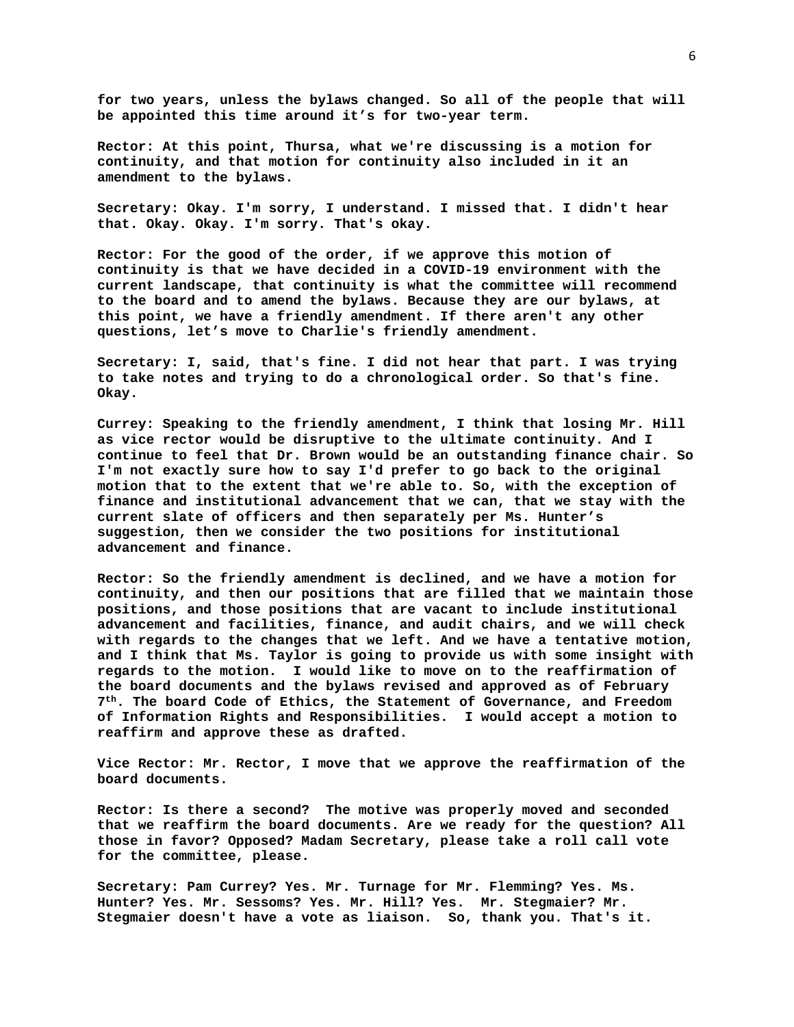**for two years, unless the bylaws changed. So all of the people that will be appointed this time around it's for two-year term.** 

**Rector: At this point, Thursa, what we're discussing is a motion for continuity, and that motion for continuity also included in it an amendment to the bylaws.** 

**Secretary: Okay. I'm sorry, I understand. I missed that. I didn't hear that. Okay. Okay. I'm sorry. That's okay.** 

**Rector: For the good of the order, if we approve this motion of continuity is that we have decided in a COVID-19 environment with the current landscape, that continuity is what the committee will recommend to the board and to amend the bylaws. Because they are our bylaws, at this point, we have a friendly amendment. If there aren't any other questions, let's move to Charlie's friendly amendment.** 

**Secretary: I, said, that's fine. I did not hear that part. I was trying to take notes and trying to do a chronological order. So that's fine. Okay.** 

**Currey: Speaking to the friendly amendment, I think that losing Mr. Hill as vice rector would be disruptive to the ultimate continuity. And I continue to feel that Dr. Brown would be an outstanding finance chair. So I'm not exactly sure how to say I'd prefer to go back to the original motion that to the extent that we're able to. So, with the exception of finance and institutional advancement that we can, that we stay with the current slate of officers and then separately per Ms. Hunter's suggestion, then we consider the two positions for institutional advancement and finance.** 

**Rector: So the friendly amendment is declined, and we have a motion for continuity, and then our positions that are filled that we maintain those positions, and those positions that are vacant to include institutional advancement and facilities, finance, and audit chairs, and we will check with regards to the changes that we left. And we have a tentative motion, and I think that Ms. Taylor is going to provide us with some insight with regards to the motion. I would like to move on to the reaffirmation of the board documents and the bylaws revised and approved as of February 7th. The board Code of Ethics, the Statement of Governance, and Freedom of Information Rights and Responsibilities. I would accept a motion to reaffirm and approve these as drafted.** 

**Vice Rector: Mr. Rector, I move that we approve the reaffirmation of the board documents.** 

**Rector: Is there a second? The motive was properly moved and seconded that we reaffirm the board documents. Are we ready for the question? All those in favor? Opposed? Madam Secretary, please take a roll call vote for the committee, please.** 

**Secretary: Pam Currey? Yes. Mr. Turnage for Mr. Flemming? Yes. Ms. Hunter? Yes. Mr. Sessoms? Yes. Mr. Hill? Yes. Mr. Stegmaier? Mr. Stegmaier doesn't have a vote as liaison. So, thank you. That's it.**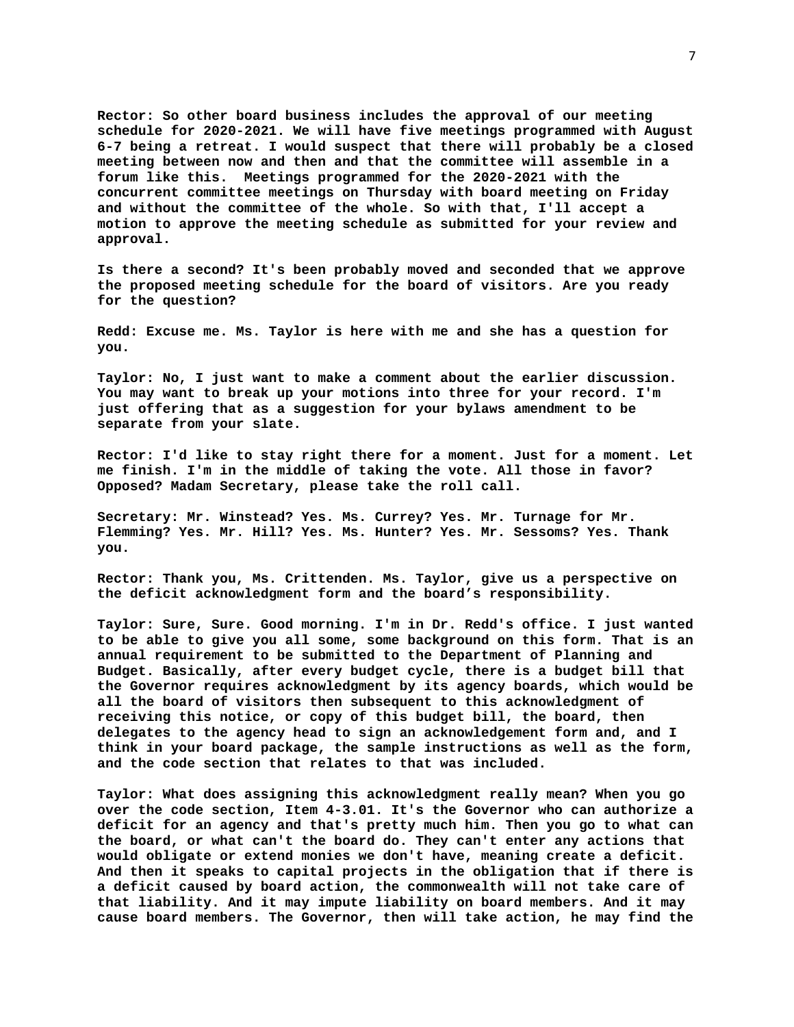**Rector: So other board business includes the approval of our meeting schedule for 2020-2021. We will have five meetings programmed with August 6-7 being a retreat. I would suspect that there will probably be a closed meeting between now and then and that the committee will assemble in a forum like this. Meetings programmed for the 2020-2021 with the concurrent committee meetings on Thursday with board meeting on Friday and without the committee of the whole. So with that, I'll accept a motion to approve the meeting schedule as submitted for your review and approval.** 

**Is there a second? It's been probably moved and seconded that we approve the proposed meeting schedule for the board of visitors. Are you ready for the question?** 

**Redd: Excuse me. Ms. Taylor is here with me and she has a question for you.** 

**Taylor: No, I just want to make a comment about the earlier discussion. You may want to break up your motions into three for your record. I'm just offering that as a suggestion for your bylaws amendment to be separate from your slate.** 

**Rector: I'd like to stay right there for a moment. Just for a moment. Let me finish. I'm in the middle of taking the vote. All those in favor? Opposed? Madam Secretary, please take the roll call.** 

**Secretary: Mr. Winstead? Yes. Ms. Currey? Yes. Mr. Turnage for Mr. Flemming? Yes. Mr. Hill? Yes. Ms. Hunter? Yes. Mr. Sessoms? Yes. Thank you.** 

**Rector: Thank you, Ms. Crittenden. Ms. Taylor, give us a perspective on the deficit acknowledgment form and the board's responsibility.** 

**Taylor: Sure, Sure. Good morning. I'm in Dr. Redd's office. I just wanted to be able to give you all some, some background on this form. That is an annual requirement to be submitted to the Department of Planning and Budget. Basically, after every budget cycle, there is a budget bill that the Governor requires acknowledgment by its agency boards, which would be all the board of visitors then subsequent to this acknowledgment of receiving this notice, or copy of this budget bill, the board, then delegates to the agency head to sign an acknowledgement form and, and I think in your board package, the sample instructions as well as the form, and the code section that relates to that was included.** 

**Taylor: What does assigning this acknowledgment really mean? When you go over the code section, Item 4-3.01. It's the Governor who can authorize a deficit for an agency and that's pretty much him. Then you go to what can the board, or what can't the board do. They can't enter any actions that would obligate or extend monies we don't have, meaning create a deficit. And then it speaks to capital projects in the obligation that if there is a deficit caused by board action, the commonwealth will not take care of that liability. And it may impute liability on board members. And it may cause board members. The Governor, then will take action, he may find the**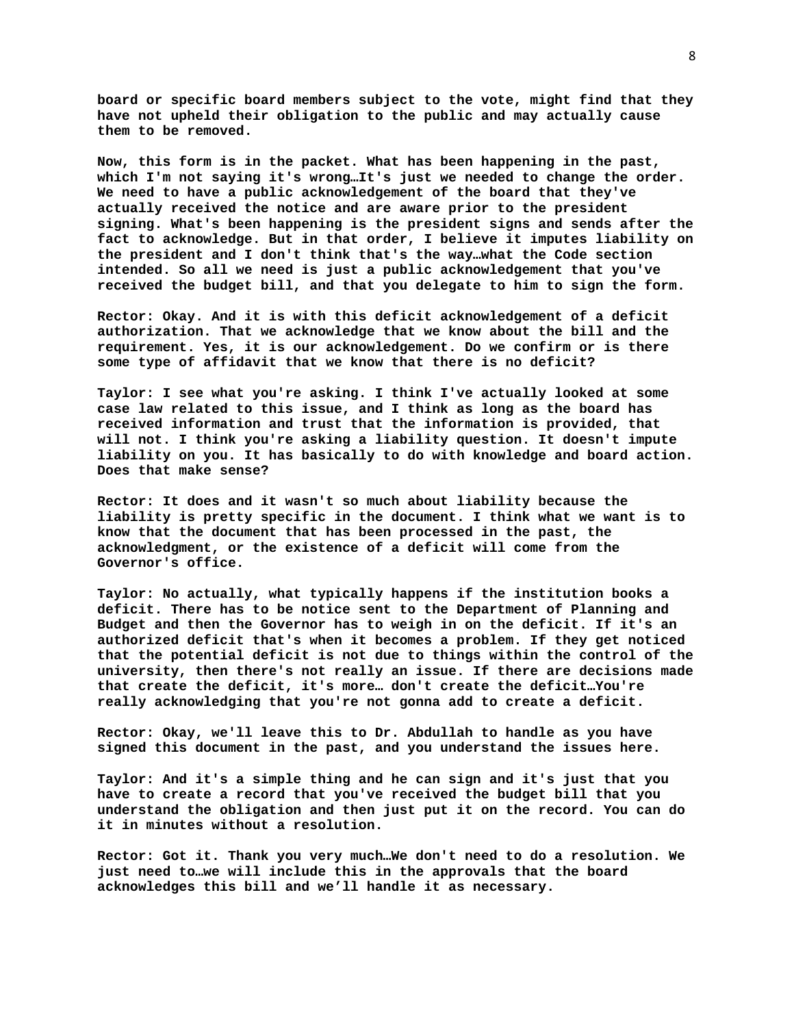**board or specific board members subject to the vote, might find that they have not upheld their obligation to the public and may actually cause them to be removed.** 

**Now, this form is in the packet. What has been happening in the past, which I'm not saying it's wrong…It's just we needed to change the order. We need to have a public acknowledgement of the board that they've actually received the notice and are aware prior to the president signing. What's been happening is the president signs and sends after the fact to acknowledge. But in that order, I believe it imputes liability on the president and I don't think that's the way…what the Code section intended. So all we need is just a public acknowledgement that you've received the budget bill, and that you delegate to him to sign the form.** 

**Rector: Okay. And it is with this deficit acknowledgement of a deficit authorization. That we acknowledge that we know about the bill and the requirement. Yes, it is our acknowledgement. Do we confirm or is there some type of affidavit that we know that there is no deficit?** 

**Taylor: I see what you're asking. I think I've actually looked at some case law related to this issue, and I think as long as the board has received information and trust that the information is provided, that will not. I think you're asking a liability question. It doesn't impute liability on you. It has basically to do with knowledge and board action. Does that make sense?** 

**Rector: It does and it wasn't so much about liability because the liability is pretty specific in the document. I think what we want is to know that the document that has been processed in the past, the acknowledgment, or the existence of a deficit will come from the Governor's office.** 

**Taylor: No actually, what typically happens if the institution books a deficit. There has to be notice sent to the Department of Planning and Budget and then the Governor has to weigh in on the deficit. If it's an authorized deficit that's when it becomes a problem. If they get noticed that the potential deficit is not due to things within the control of the university, then there's not really an issue. If there are decisions made that create the deficit, it's more… don't create the deficit…You're really acknowledging that you're not gonna add to create a deficit.** 

**Rector: Okay, we'll leave this to Dr. Abdullah to handle as you have signed this document in the past, and you understand the issues here.** 

**Taylor: And it's a simple thing and he can sign and it's just that you have to create a record that you've received the budget bill that you understand the obligation and then just put it on the record. You can do it in minutes without a resolution.** 

**Rector: Got it. Thank you very much…We don't need to do a resolution. We just need to…we will include this in the approvals that the board acknowledges this bill and we'll handle it as necessary.**